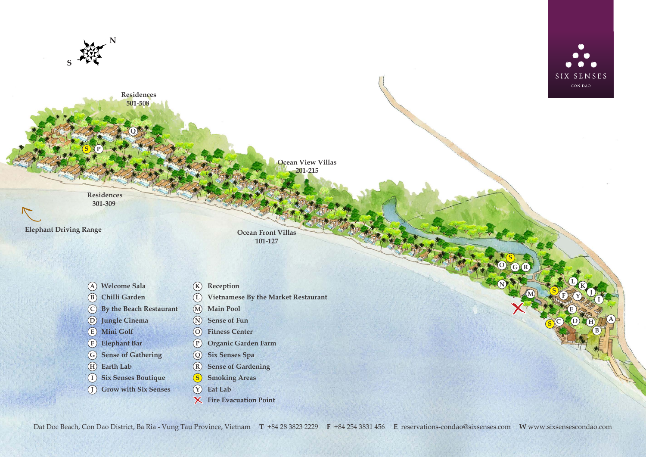